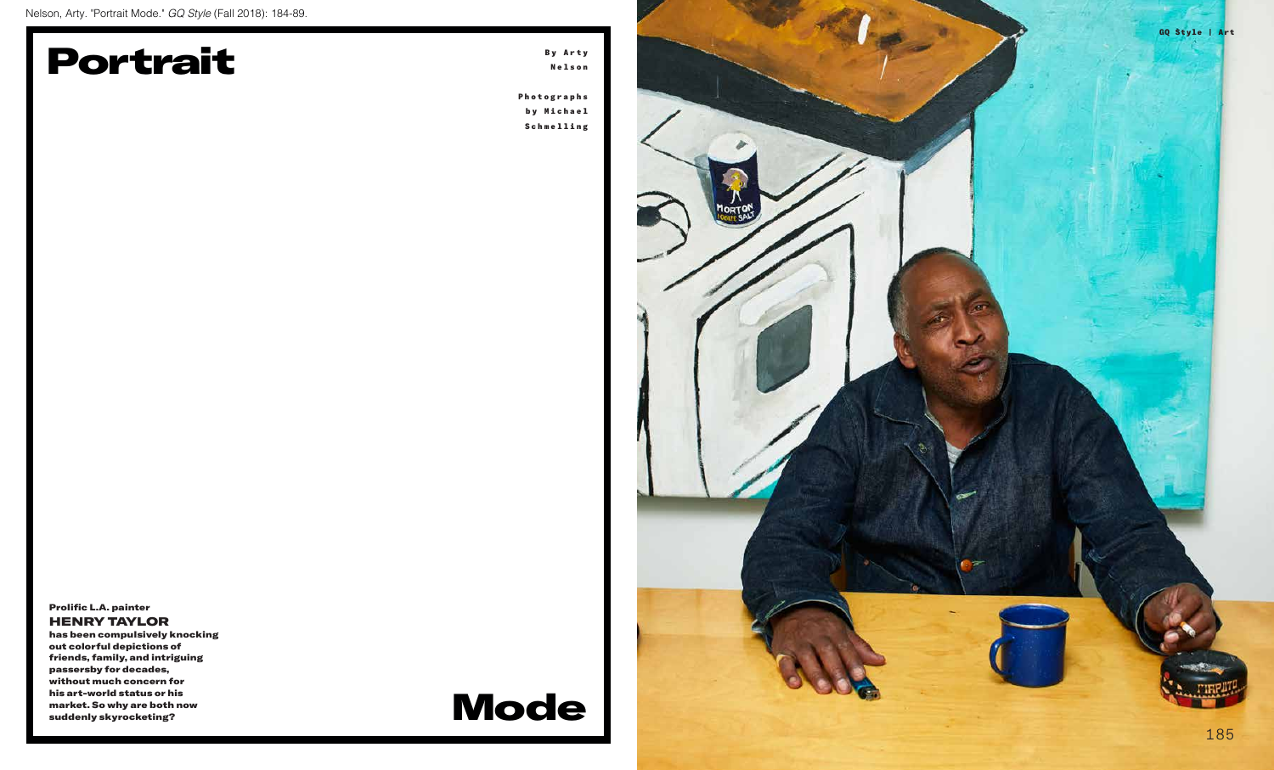

## Portrait

## Mode



Prolific L.A. painter HENRY TAYLOR

has been compulsively knocking out colorful depictions of friends, family, and intriguing passersby for decades, without much concern for his art-world status or his market. So why are both now suddenly skyrocketing?

B y A r t y Nelson

Photographs b y M i c h a e l Schmelling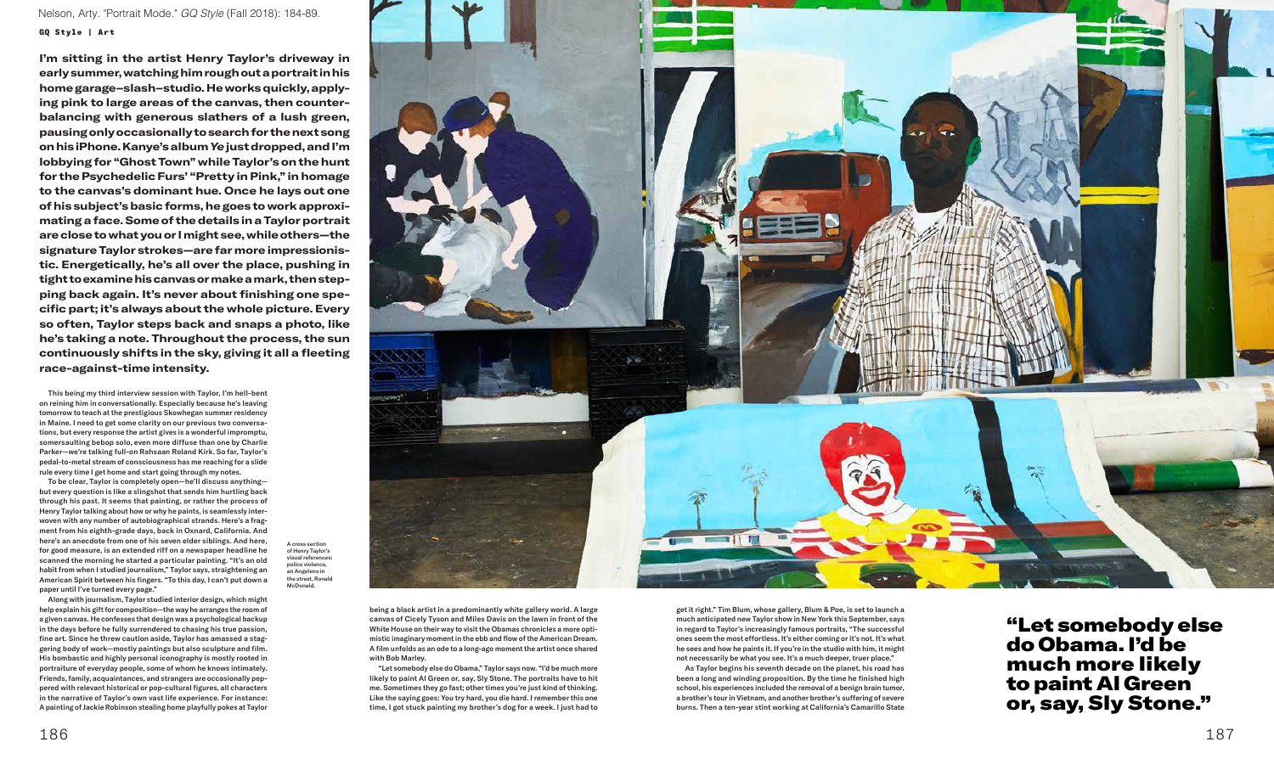This being my third interview session with Taylor, I'm hell-bent on reining him in conversationally. Especially because he's leaving tomorrow to teach at the prestigious Skowhegan summer residency in Maine. I need to get some clarity on our previous two conversations, but every response the artist gives is a wonderful impromptu, somersaulting bebop solo, even more diffuse than one by Charlie Parker—we're talking full-on Rahsaan Roland Kirk. So far, Taylor's pedal-to-metal stream of consciousness has me reaching for a slide rule every time I get home and start going through my notes.

To be clear, Taylor is completely open—he'll discuss anything but every question is like a slingshot that sends him hurtling back through his past. It seems that painting, or rather the process of Henry Taylor talking about how or why he paints, is seamlessly interwoven with any number of autobiographical strands. Here's a fragment from his eighth-grade days, back in Oxnard, California. And here's an anecdote from one of his seven elder siblings. And here, for good measure, is an extended riff on a newspaper headline he scanned the morning he started a particular painting. "It's an old habit from when I studied journalism," Taylor says, straightening an American Spirit between his fingers. "To this day, I can't put down a paper until I've turned every page."

Along with journalism, Taylor studied interior design, which might help explain his gift for composition—the way he arranges the room of a given canvas. He confesses that design was a psychological backup in the days before he fully surrendered to chasing his true passion, fine art. Since he threw caution aside, Taylor has amassed a staggering body of work—mostly paintings but also sculpture and film. His bombastic and highly personal iconography is mostly rooted in portraiture of everyday people, some of whom he knows intimately. Friends, family, acquaintances, and strangers are occasionally peppered with relevant historical or pop-cultural figures, all characters in the narrative of Taylor's own vast life experience. For instance: A painting of Jackie Robinson stealing home playfully pokes at Taylor

A cross section of Henry Taylor's visual references: police violence, an Angeleno in the street, Ronald McDonald.

**I'm sitting in the artist Henry Taylor's driveway in early summer, watching him rough out a portrait in his home garage–slash–studio. He works quickly, applying pink to large areas of the canvas, then counterbalancing with generous slathers of a lush green, pausing only occasionally to search for the next song on his iPhone. Kanye's album** *Ye* **just dropped, and I'm lobbying for "Ghost Town" while Taylor's on the hunt for the Psychedelic Furs' "Pretty in Pink," in homage to the canvas's dominant hue. Once he lays out one of his subject's basic forms, he goes to work approximating a face. Some of the details in a Taylor portrait are close to what you or I might see, while others—the signature Taylor strokes—are far more impressionistic. Energetically, he's all over the place, pushing in tight to examine his canvas or make a mark, then stepping back again. It's never about finishing one specific part; it's always about the whole picture. Every so often, Taylor steps back and snaps a photo, like he's taking a note. Throughout the process, the sun continuously shifts in the sky, giving it all a fleeting race-against-time intensity.**

> "Let somebody else do Obama. I'd be much more likely to paint Al Green or, say, Sly Stone."

being a black artist in a predominantly white gallery world. A large canvas of Cicely Tyson and Miles Davis on the lawn in front of the White House on their way to visit the Obamas chronicles a more optimistic imaginary moment in the ebb and flow of the American Dream. A film unfolds as an ode to a long-ago moment the artist once shared with Bob Marley.

"Let somebody else do Obama," Taylor says now. "I'd be much more likely to paint Al Green or, say, Sly Stone. The portraits have to hit me. Sometimes they go fast; other times you're just kind of thinking. Like the saying goes: You try hard, you die hard. I remember this one time, I got stuck painting my brother's dog for a week. I just had to get it right." Tim Blum, whose gallery, Blum & Poe, is set to launch a much anticipated new Taylor show in New York this September, says in regard to Taylor's increasingly famous portraits, "The successful ones seem the most effortless. It's either coming or it's not. It's what he sees and how he paints it. If you're in the studio with him, it might not necessarily be what you see. It's a much deeper, truer place."

As Taylor begins his seventh decade on the planet, his road has been a long and winding proposition. By the time he finished high school, his experiences included the removal of a benign brain tumor, a brother's tour in Vietnam, and another brother's suffering of severe burns. Then a ten-year stint working at California's Camarillo State



## GQ Style | Art Nelson, Arty. "Portrait Mode." GQ Style (Fall 2018): 184-89.